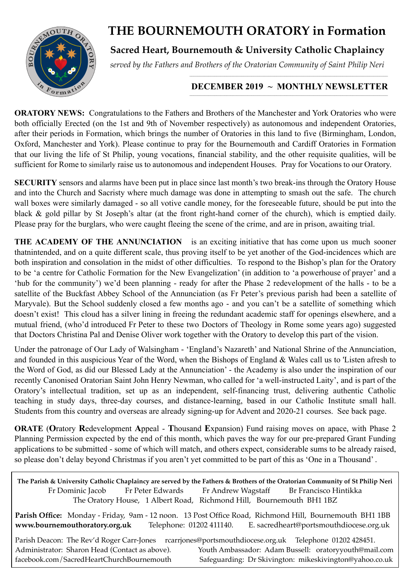## **THE BOURNEMOUTH ORATORY in Formation**



**Sacred Heart, Bournemouth & University Catholic Chaplaincy**

*served by the Fathers and Brothers of the Oratorian Community of Saint Philip Neri*

## **DECEMBER 2019 ~ MONTHLY NEWSLETTER**

**ORATORY NEWS:** Congratulations to the Fathers and Brothers of the Manchester and York Oratories who were both officially Erected (on the 1st and 9th of November respectively) as autonomous and independent Oratories, after their periods in Formation, which brings the number of Oratories in this land to five (Birmingham, London, Oxford, Manchester and York). Please continue to pray for the Bournemouth and Cardiff Oratories in Formation that our living the life of St Philip, young vocations, financial stability, and the other requisite qualities, will be sufficient for Rome to similarly raise us to autonomous and independent Houses. Pray for Vocations to our Oratory.

**SECURITY** sensors and alarms have been put in place since last month's two break-ins through the Oratory House and into the Church and Sacristy where much damage was done in attempting to smash out the safe. The church wall boxes were similarly damaged - so all votive candle money, for the foreseeable future, should be put into the black & gold pillar by St Joseph's altar (at the front right-hand corner of the church), which is emptied daily. Please pray for the burglars, who were caught fleeing the scene of the crime, and are in prison, awaiting trial.

**THE ACADEMY OF THE ANNUNCIATION** is an exciting initiative that has come upon us much sooner thatnintended, and on a quite different scale, thus proving itself to be yet another of the God-incidences which are both inspiration and consolation in the midst of other difficulties. To respond to the Bishop's plan for the Oratory to be 'a centre for Catholic Formation for the New Evangelization' (in addition to 'a powerhouse of prayer' and a 'hub for the community') we'd been planning - ready for after the Phase 2 redevelopment of the halls - to be a satellite of the Buckfast Abbey School of the Annunciation (as Fr Peter's previous parish had been a satellite of Maryvale). But the School suddenly closed a few months ago - and you can't be a satellite of something which doesn't exist! This cloud has a silver lining in freeing the redundant academic staff for openings elsewhere, and a mutual friend, (who'd introduced Fr Peter to these two Doctors of Theology in Rome some years ago) suggested that Doctors Christina Pal and Denise Oliver work together with the Oratory to develop this part of the vision.

Under the patronage of Our Lady of Walsingham - 'England's Nazareth' and National Shrine of the Annunciation, and founded in this auspicious Year of the Word, when the Bishops of England & Wales call us to 'Listen afresh to the Word of God, as did our Blessed Lady at the Annunciation' - the Academy is also under the inspiration of our recently Canonised Oratorian Saint John Henry Newman, who called for 'a well-instructed Laity', and is part of the Oratory's intellectual tradition, set up as an independent, self-financing trust, delivering authentic Catholic teaching in study days, three-day courses, and distance-learning, based in our Catholic Institute small hall. Students from this country and overseas are already signing-up for Advent and 2020-21 courses. See back page.

**ORATE** (**O**ratory **R**edevelopment **A**ppeal - **T**housand **E**xpansion) Fund raising moves on apace, with Phase 2 Planning Permission expected by the end of this month, which paves the way for our pre-prepared Grant Funding applications to be submitted - some of which will match, and others expect, considerable sums to be already raised, so please don't delay beyond Christmas if you aren't yet committed to be part of this as 'One in a Thousand' .

**The Parish & University Catholic Chaplaincy are served by the Fathers & Brothers of the Oratorian Community of St Philip Neri** Fr Dominic Jacob Fr Peter Edwards Fr Andrew Wagstaff Br Francisco Hintikka The Oratory House, 1 Albert Road, Richmond Hill, Bournemouth BH1 1BZ **Parish Office:** Monday - Friday, 9am - 12 noon. 13 Post Office Road, Richmond Hill, Bournemouth BH1 1BB **[www.bournemouthoratory.org.uk](http://www.bournemoithoratory.org.uk)** Telephone: 01202 411140. E. [sacredheart@portsmouthdiocese.org.uk](mailto:sacredheart@portsmouthdiocese.org.uk) Parish Deacon: The Rev'd Roger Carr-Jones rcarriones@portsmouthdiocese.org.uk Telephone 01202 428451. Administrator: Sharon Head (Contact as above). Youth Ambassador: Adam Bussell: [oratoryyouth@mail.com](http://oratoryyouth.mail.com) [facebook.com/SacredHeartChurchBournemouth](http://facebook.com/SaccredHeartChurchBournemouth) Safeguarding: Dr Skivington: mikeskivington@yahoo.co.uk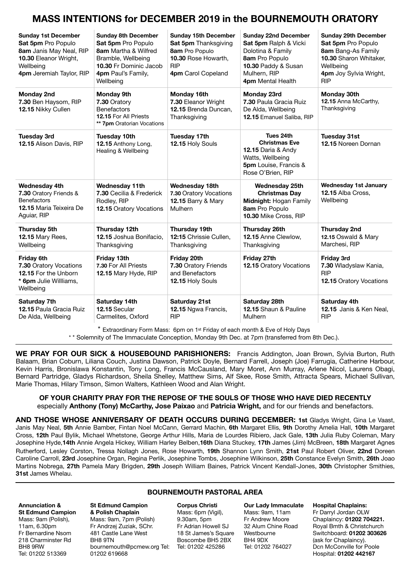## **MASS INTENTIONS for DECEMBER 2019 in the BOURNEMOUTH ORATORY**

| <b>Sunday 1st December</b><br>Sat 5pm Pro Populo<br>8am Janis May Neal, RIP<br>10.30 Eleanor Wright,<br>Wellbeing<br>4pm Jeremiah Taylor, RIP | <b>Sunday 8th December</b><br>Sat 5pm Pro Populo<br>8am Martha & Wilfred<br>Bramble, Wellbeing<br>10.30 Fr Dominic Jacob<br>4pm Paul's Family,<br>Wellbeing | <b>Sunday 15th December</b><br>Sat 5pm Thanksgiving<br>8am Pro Populo<br>10.30 Rose Howarth,<br><b>RIP</b><br>4pm Carol Copeland | <b>Sunday 22nd December</b><br>Sat 5pm Ralph & Vicki<br>Dolotina & Family<br>8am Pro Populo<br>10.30 Paddy & Susan<br>Mulhern, RIP<br>4pm Mental Health | <b>Sunday 29th December</b><br>Sat 5pm Pro Populo<br>8am Bang-As Family<br>10.30 Sharon Whitaker,<br>Wellbeing<br>4pm Joy Sylvia Wright,<br><b>RIP</b> |
|-----------------------------------------------------------------------------------------------------------------------------------------------|-------------------------------------------------------------------------------------------------------------------------------------------------------------|----------------------------------------------------------------------------------------------------------------------------------|---------------------------------------------------------------------------------------------------------------------------------------------------------|--------------------------------------------------------------------------------------------------------------------------------------------------------|
| <b>Monday 2nd</b><br>7.30 Ben Haysom, RIP<br>12.15 Nikky Cullen                                                                               | Monday 9th<br>7.30 Oratory<br><b>Benefactors</b><br>12.15 For All Priests<br>** 7pm Oratorian Vocations                                                     | Monday 16th<br>7.30 Eleanor Wright<br>12.15 Brenda Duncan,<br>Thanksgiving                                                       | Monday 23rd<br>7.30 Paula Gracia Ruiz<br>De Alda, Wellbeing<br>12.15 Emanuel Saliba, RIP                                                                | Monday 30th<br>12.15 Anna McCarthy,<br>Thanksgiving                                                                                                    |
| <b>Tuesday 3rd</b><br>12.15 Alison Davis, RIP                                                                                                 | <b>Tuesday 10th</b><br>12.15 Anthony Long,<br>Healing & Wellbeing                                                                                           | Tuesday 17th<br>12.15 Holy Souls                                                                                                 | Tues 24th<br><b>Christmas Eve</b><br>12.15 Daria & Andy<br>Watts, Wellbeing<br>5pm Louise, Francis &<br>Rose O'Brien, RIP                               | <b>Tuesday 31st</b><br>12.15 Noreen Dornan                                                                                                             |
| <b>Wednesday 4th</b><br>7.30 Oratory Friends &<br><b>Benefactors</b><br>12.15 Maria Teixeira De<br>Aguiar, RIP                                | <b>Wednesday 11th</b><br>7.30 Cecilia & Frederick<br>Rodley, RIP<br>12.15 Oratory Vocations                                                                 | <b>Wednesday 18th</b><br>7.30 Oratory Vocations<br><b>12.15 Barry &amp; Mary</b><br>Mulhern                                      | <b>Wednesday 25th</b><br><b>Christmas Day</b><br>Midnight: Hogan Family<br>8am Pro Populo<br>10.30 Mike Cross, RIP                                      | <b>Wednesday 1st January</b><br>12.15 Alba Cross,<br>Wellbeing                                                                                         |
| Thursday 5th<br><b>12.15 Mary Rees,</b><br>Wellbeing                                                                                          | Thursday 12th<br>12.15 Joshua Bonifacio,<br>Thanksgiving                                                                                                    | Thursday 19th<br>12:15 Chrissie Cullen,<br>Thanksgiving                                                                          | Thursday 26th<br>12.15 Anne Clewlow,<br>Thanksgiving                                                                                                    | Thursday 2nd<br>12.15 Oswald & Mary<br>Marchesi, RIP                                                                                                   |
| Friday 6th<br>7.30 Oratory Vocations<br>12.15 For the Unborn<br>* 6pm Julie Willliams,<br>Wellbeing                                           | <b>Friday 13th</b><br>7.30 For All Priests<br>12.15 Mary Hyde, RIP                                                                                          | Friday 20th<br>7.30 Oratory Friends<br>and Benefactors<br>12.15 Holy Souls                                                       | Friday 27th<br>12.15 Oratory Vocations                                                                                                                  | <b>Friday 3rd</b><br>7.30 Wladyslaw Kania,<br><b>RIP</b><br>12.15 Oratory Vocations                                                                    |
| Saturday 7th<br>12.15 Paula Gracia Ruiz<br>De Alda, Wellbeing                                                                                 | Saturday 14th<br>12.15 Secular<br>Carmelites, Oxford                                                                                                        | Saturday 21st<br>12.15 Ngwa Francis,<br><b>RIP</b>                                                                               | Saturday 28th<br>12.15 Shaun & Pauline<br>Mulhern                                                                                                       | Saturday 4th<br>12.15 Janis & Ken Neal.<br><b>RIP</b>                                                                                                  |

\* Extraordinary Form Mass: 6pm on 1st Friday of each month & Eve of Holy Days

\* \* Solemnity of The Immaculate Conception, Monday 9th Dec. at 7pm (transferred from 8th Dec.).

**WE PRAY FOR OUR SICK & HOUSEBOUND PARISHIONERS:** Francis Addington, Joan Brown, Sylvia Burton, Ruth Balaam, Brian Coburn, Liliana Couch, Justina Dawson, Patrick Doyle, Bernard Farrell, Joseph (Joe) Farrugia, Catherine Harbour, Kevin Harris, Bronislawa Konstantin, Tony Long, Francis McCausland, Mary Moret, Ann Murray, Arlene Nicol, Laurens Obagi, Bernard Partridge, Gladys Richardson, Sheila Shelley, Matthew Sims, Alf Skee, Rose Smith, Attracta Spears, Michael Sullivan, Marie Thomas, Hilary Timson, Simon Walters, Kathleen Wood and Alan Wright.

#### **OF YOUR CHARITY PRAY FOR THE REPOSE OF THE SOULS OF THOSE WHO HAVE DIED RECENTLY**  especially **Anthony (Tony) McCarthy, Jose Paixao** and **Patricia Wright,** and for our friends and benefactors.

**AND THOSE WHOSE ANNIVERSARY OF DEATH OCCURS DURING DECEMBER: 1st** Gladys Wright, Gina Le Vaast, Janis May Neal, **5th** Annie Bamber, Fintan Noel McCann, Gerrard Machin, **6th** Margaret Ellis, **9th** Dorothy Amelia Hall, **10th** Margaret Cross, **12th** Paul Bylik, Michael Whetstone, George Arthur Hills, Maria de Lourdes Ribiero, Jack Gale, **13th** Julia Ruby Coleman, Mary Josephine Hyde,**14th** Annie Angela Hickey, William Harley Belben,**16th** Diana Stuckey, **17th** James (Jim) McBreen, **18th** Margaret Agnes Rutherford, Lesley Corston, Tressa Nollagh Jones, Rose Howarth, **19th** Shannon Lynn Smith, **21st** Paul Robert Oliver, **22nd** Doreen Caroline Carroll, **23rd** Josephine Organ, Regina Perlik, Josephine Tombs, Josephine Wilkinson, **25th** Constance Evelyn Smith, **26th** Joao Martins Nobrega, **27th** Pamela Mary Brigden, **29th** Joseph William Baines, Patrick Vincent Kendall-Jones, **30th** Christopher Smithies, **31st** James Whelau.

#### **BOURNEMOUTH PASTORAL AREA**

**Annunciation & St Edmund Campion**  Mass: 9am (Polish), 11am, 6.30pm Fr Bernardine Nsom 218 Charminster Rd BH8 9RW Tel: 01202 513369

**St Edmund Campion & Polish Chaplain** Mass: 9am, 7pm (Polish) Fr Andrzej Zuziak, SChr. 481 Castle Lane West BH8 9TN [bournemouth@pcmew.org](mailto:bournemouth@pcmew.org) Tel: Tel: 01202 425286 01202 619668

**Corpus Christi**  Mass: 6pm (Vigil), 9.30am, 5pm Fr Adrian Howell SJ 18 St James's Square Boscombe BH5 2BX

**Our Lady Immaculate**  Mass: 9am, 11am Fr Andrew Moore 32 Alum Chine Road **Westbourne** BH4 9DX Tel: 01202 764027

**Hospital Chaplains:**  Fr Darryl Jordan OLW Chaplaincy: **01202 704221.** Royal Bmth & Christchurch Switchboard: **01202 303626** (ask for Chaplaincy). Dcn McConville for Poole Hospital: **01202 442167**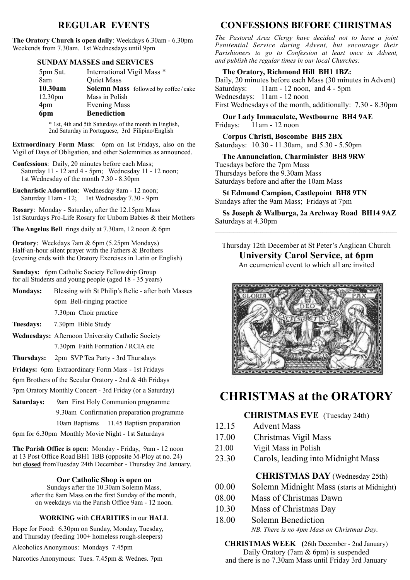## **REGULAR EVENTS**

**The Oratory Church is open daily**: Weekdays 6.30am - 6.30pm Weekends from 7.30am. 1st Wednesdays until 9pm

#### **SUNDAY MASSES and SERVICES**

| 5pm Sat. | International Vigil Mass *          |
|----------|-------------------------------------|
| 8am      | <b>Quiet Mass</b>                   |
| 10.30am  | Solemn Mass followed by coffee/cake |
| 12.30pm  | Mass in Polish                      |
| 4pm      | <b>Evening Mass</b>                 |
| 6pm      | <b>Benediction</b>                  |
|          |                                     |

\* 1st, 4th and 5th Saturdays of the month in English, 2nd Saturday in Portuguese, 3rd Filipino/English

**Extraordinary Form Mass**: 6pm on 1st Fridays, also on the Vigil of Days of Obligation, and other Solemnities as announced.

- **Confessions**: Daily, 20 minutes before each Mass; Saturday  $11 - 12$  and  $4 - 5$ pm; Wednesday  $11 - 12$  noon; 1st Wednesday of the month 7.30 - 8.30pm
- **Eucharistic Adoration**: Wednesday 8am 12 noon; Saturday 11am - 12; 1st Wednesday 7.30 - 9pm

**Rosary**: Monday - Saturday, after the 12.15pm Mass 1st Saturdays Pro-Life Rosary for Unborn Babies & their Mothers

**The Angelus Bell** rings daily at 7.30am, 12 noon & 6pm

**Oratory**: Weekdays 7am & 6pm (5.25pm Mondays) Half-an-hour silent prayer with the Fathers & Brothers (evening ends with the Oratory Exercises in Latin or English)

**Sundays:** 6pm Catholic Society Fellowship Group for all Students and young people (aged 18 - 35 years)

- **Mondays:** Blessing with St Philip's Relic after both Masses 6pm Bell-ringing practice 7.30pm Choir practice
- **Tuesdays:** 7.30pm Bible Study
- **Wednesdays:** Afternoon University Catholic Society 7.30pm Faith Formation / RCIA etc
- **Thursdays:** 2pm SVP Tea Party 3rd Thursdays
- **Fridays:** 6pm Extraordinary Form Mass 1st Fridays
- 6pm Brothers of the Secular Oratory 2nd & 4th Fridays
- 7pm Oratory Monthly Concert 3rd Friday (or a Saturday)
- **Saturdays:** 9am First Holy Communion programme 9.30am Confirmation preparation programme 10am Baptisms 11.45 Baptism preparation

6pm for 6.30pm Monthly Movie Night - 1st Saturdays

**The Parish Office is open**: Monday - Friday, 9am - 12 noon at 13 Post Office Road BH1 1BB (opposite M-Ploy at no. 24) but **closed** fromTuesday 24th December - Thursday 2nd January.

### **Our Catholic Shop is open on**

Sundays after the 10.30am Solemn Mass, after the 8am Mass on the first Sunday of the month, on weekdays via the Parish Office 9am - 12 noon.

### **WORKING** with **CHARITIES** in our **HALL**

Hope for Food: 6.30pm on Sunday, Monday, Tuesday, and Thursday (feeding 100+ homeless rough-sleepers)

Alcoholics Anonymous: Mondays 7.45pm

Narcotics Anonymous: Tues. 7.45pm & Wednes. 7pm

## **CONFESSIONS BEFORE CHRISTMAS**

*The Pastoral Area Clergy have decided not to have a joint Penitential Service during Advent, but encourage their Parishioners to go to Confession at least once in Advent, and publish the regular times in our local Churches:* 

#### **The Oratory, Richmond Hill BH1 1BZ:**

Daily, 20 minutes before each Mass (30 minutes in Advent) Saturdays: 11am - 12 noon, and 4 - 5pm Wednesdays: 11am - 12 noon First Wednesdays of the month, additionally: 7.30 - 8.30pm

 **Our Lady Immaculate, Westbourne BH4 9AE**  Fridays: 11am - 12 noon

 **Corpus Christi, Boscombe BH5 2BX**  Saturdays: 10.30 - 11.30am, and 5.30 - 5.50pm

 **The Annunciation, Charminister BH8 9RW**  Tuesdays before the 7pm Mass Thursdays before the 9.30am Mass Saturdays before and after the 10am Mass

 **St Edmund Campion, Castlepoint BH8 9TN**  Sundays after the 9am Mass; Fridays at 7pm

 **Ss Joseph & Walburga, 2a Archway Road BH14 9AZ**  Saturdays at 4.30pm

 $\mathcal{L}_\mathcal{L} = \{ \mathcal{L}_\mathcal{L} = \{ \mathcal{L}_\mathcal{L} = \{ \mathcal{L}_\mathcal{L} = \{ \mathcal{L}_\mathcal{L} = \{ \mathcal{L}_\mathcal{L} = \{ \mathcal{L}_\mathcal{L} = \{ \mathcal{L}_\mathcal{L} = \{ \mathcal{L}_\mathcal{L} = \{ \mathcal{L}_\mathcal{L} = \{ \mathcal{L}_\mathcal{L} = \{ \mathcal{L}_\mathcal{L} = \{ \mathcal{L}_\mathcal{L} = \{ \mathcal{L}_\mathcal{L} = \{ \mathcal{L}_\mathcal{$ 

Thursday 12th December at St Peter's Anglican Church **University Carol Service, at 6pm**  An ecumenical event to which all are invited



## **CHRISTMAS at the ORATORY**

## **CHRISTMAS EVE** (Tuesday 24th)

- 12.15 Advent Mass
- 17.00 Christmas Vigil Mass
- 21.00 Vigil Mass in Polish
- 23.30 Carols, leading into Midnight Mass

## **CHRISTMAS DAY** (Wednesday 25th)

- 00.00 Solemn Midnight Mass (starts at Midnight)
- 08.00 Mass of Christmas Dawn
- 10.30 Mass of Christmas Day
- 18.00 Solemn Benediction *NB. There is no 4pm Mass on Christmas Day*.

**CHRISTMAS WEEK (**26th December - 2nd January) Daily Oratory (7am & 6pm) is suspended and there is no 7.30am Mass until Friday 3rd January